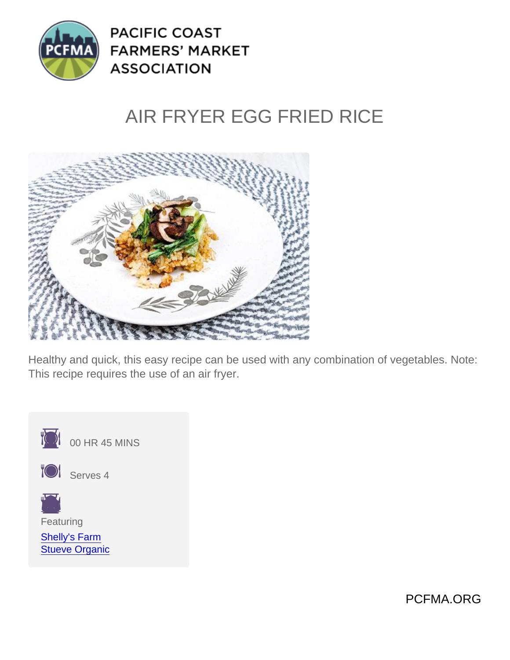# AIR FRYER EGG FRIED RICE

Healthy and quick, this easy recipe can be used with any combination of vegetables. Note: This recipe requires the use of an air fryer.



Featuring

[Shelly's Farm](https://www.pcfma.org/vendors/shellys-farm) [Stueve Organic](https://www.pcfma.org/vendors/stueve-organic)

PCFMA.ORG